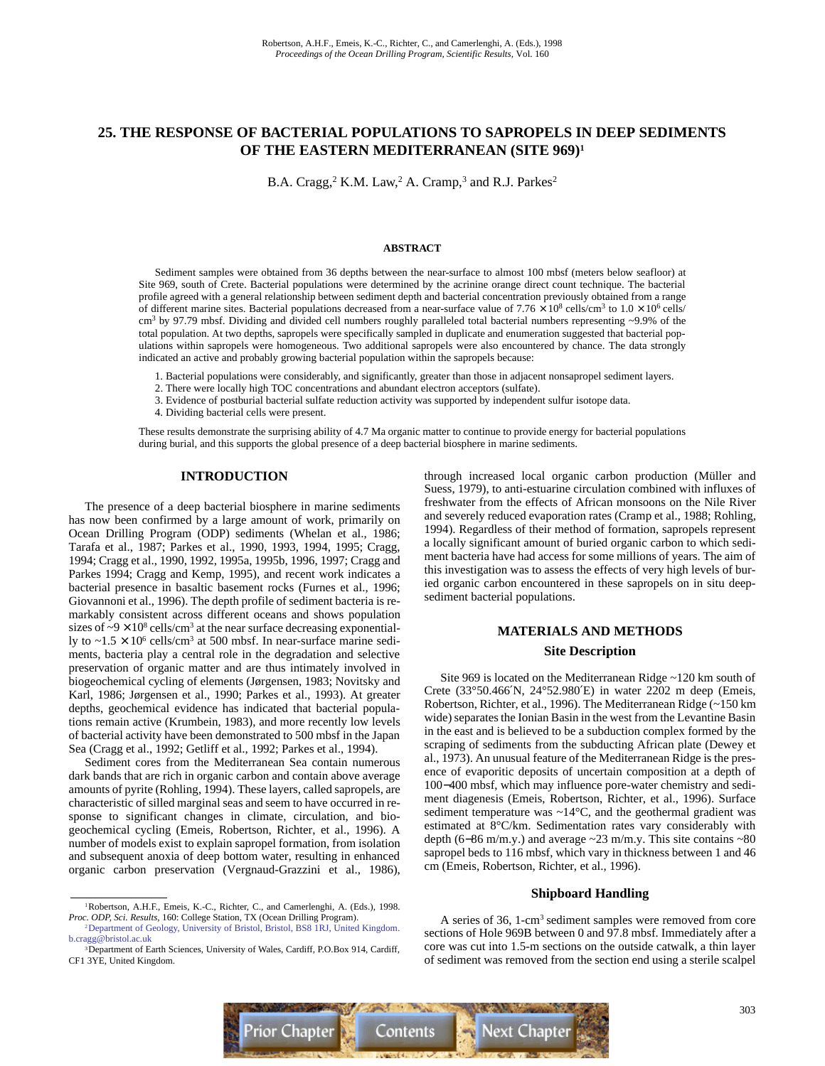# **25. THE RESPONSE OF BACTERIAL POPULATIONS TO SAPROPELS IN DEEP SEDIMENTS OF THE EASTERN MEDITERRANEAN (SITE 969)1**

B.A. Cragg,<sup>2</sup> K.M. Law,<sup>2</sup> A. Cramp,<sup>3</sup> and R.J. Parkes<sup>2</sup>

#### **ABSTRACT**

Sediment samples were obtained from 36 depths between the near-surface to almost 100 mbsf (meters below seafloor) at Site 969, south of Crete. Bacterial populations were determined by the acrinine orange direct count technique. The bacterial profile agreed with a general relationship between sediment depth and bacterial concentration previously obtained from a range of different marine sites. Bacterial populations decreased from a near-surface value of  $7.76 \times 10^8$  cells/cm<sup>3</sup> to  $1.0 \times 10^6$  cells/  $cm<sup>3</sup>$  by 97.79 mbsf. Dividing and divided cell numbers roughly paralleled total bacterial numbers representing ~9.9% of the total population. At two depths, sapropels were specifically sampled in duplicate and enumeration suggested that bacterial populations within sapropels were homogeneous. Two additional sapropels were also encountered by chance. The data strongly indicated an active and probably growing bacterial population within the sapropels because:

- 1. Bacterial populations were considerably, and significantly, greater than those in adjacent nonsapropel sediment layers.
- 2. There were locally high TOC concentrations and abundant electron acceptors (sulfate).
- 3. Evidence of postburial bacterial sulfate reduction activity was supported by independent sulfur isotope data.
- 4. Dividing bacterial cells were present.

These results demonstrate the surprising ability of 4.7 Ma organic matter to continue to provide energy for bacterial populations during burial, and this supports the global presence of a deep bacterial biosphere in marine sediments.

## **INTRODUCTION**

The presence of a deep bacterial biosphere in marine sediments has now been confirmed by a large amount of work, primarily on Ocean Drilling Program (ODP) sediments (Whelan et al., 1986; Tarafa et al., 1987; Parkes et al., 1990, 1993, 1994, 1995; Cragg, 1994; Cragg et al., 1990, 1992, 1995a, 1995b, 1996, 1997; Cragg and Parkes 1994; Cragg and Kemp, 1995), and recent work indicates a bacterial presence in basaltic basement rocks (Furnes et al., 1996; Giovannoni et al., 1996). The depth profile of sediment bacteria is remarkably consistent across different oceans and shows population sizes of  $\sim$ 9  $\times$  10<sup>8</sup> cells/cm<sup>3</sup> at the near surface decreasing exponentially to  $\sim$ 1.5  $\times$  10<sup>6</sup> cells/cm<sup>3</sup> at 500 mbsf. In near-surface marine sediments, bacteria play a central role in the degradation and selective preservation of organic matter and are thus intimately involved in biogeochemical cycling of elements (Jørgensen, 1983; Novitsky and Karl, 1986; Jørgensen et al., 1990; Parkes et al., 1993). At greater depths, geochemical evidence has indicated that bacterial populations remain active (Krumbein, 1983), and more recently low levels of bacterial activity have been demonstrated to 500 mbsf in the Japan Sea (Cragg et al., 1992; Getliff et al., 1992; Parkes et al., 1994).

Sediment cores from the Mediterranean Sea contain numerous dark bands that are rich in organic carbon and contain above average amounts of pyrite (Rohling, 1994). These layers, called sapropels, are characteristic of silled marginal seas and seem to have occurred in response to significant changes in climate, circulation, and biogeochemical cycling (Emeis, Robertson, Richter, et al., 1996). A number of models exist to explain sapropel formation, from isolation and subsequent anoxia of deep bottom water, resulting in enhanced organic carbon preservation (Vergnaud-Grazzini et al., 1986),

through increased local organic carbon production (Müller and Suess, 1979), to anti-estuarine circulation combined with influxes of freshwater from the effects of African monsoons on the Nile River and severely reduced evaporation rates (Cramp et al., 1988; Rohling, 1994). Regardless of their method of formation, sapropels represent a locally significant amount of buried organic carbon to which sediment bacteria have had access for some millions of years. The aim of this investigation was to assess the effects of very high levels of buried organic carbon encountered in these sapropels on in situ deepsediment bacterial populations.

# **MATERIALS AND METHODS Site Description**

Site 969 is located on the Mediterranean Ridge ~120 km south of Crete (33°50.466′N, 24°52.980′E) in water 2202 m deep (Emeis, Robertson, Richter, et al., 1996). The Mediterranean Ridge (~150 km wide) separates the Ionian Basin in the west from the Levantine Basin in the east and is believed to be a subduction complex formed by the scraping of sediments from the subducting African plate (Dewey et al., 1973). An unusual feature of the Mediterranean Ridge is the presence of evaporitic deposits of uncertain composition at a depth of 100−400 mbsf, which may influence pore-water chemistry and sediment diagenesis (Emeis, Robertson, Richter, et al., 1996). Surface sediment temperature was  $\sim$ 14 $\degree$ C, and the geothermal gradient was estimated at 8°C/km. Sedimentation rates vary considerably with depth (6–86 m/m.y.) and average ~23 m/m.y. This site contains ~80 sapropel beds to 116 mbsf, which vary in thickness between 1 and 46 cm (Emeis, Robertson, Richter, et al., 1996).

### **Shipboard Handling**

A series of 36, 1-cm3 sediment samples were removed from core sections of Hole 969B between 0 and 97.8 mbsf. Immediately after a core was cut into 1.5-m sections on the outside catwalk, a thin layer of sediment was removed from the section end using a sterile scalpel



<sup>&</sup>lt;sup>1</sup>Robertson, A.H.F., Emeis, K.-C., Richter, C., and Camerlenghi, A. (Eds.), 1998. *Proc. ODP, Sci. Results,* 160: College Station, TX (Ocean Drilling Program).

[<sup>2</sup>Department of Geology, University of Bristol, Bristol, BS8 1RJ, United Kingdom.](mailto:b.cragg@bristol.ac.uk) b.cragg@bristol.ac.uk

<sup>&</sup>lt;sup>3</sup>Department of Earth Sciences, University of Wales, Cardiff, P.O.Box 914, Cardiff, CF1 3YE, United Kingdom.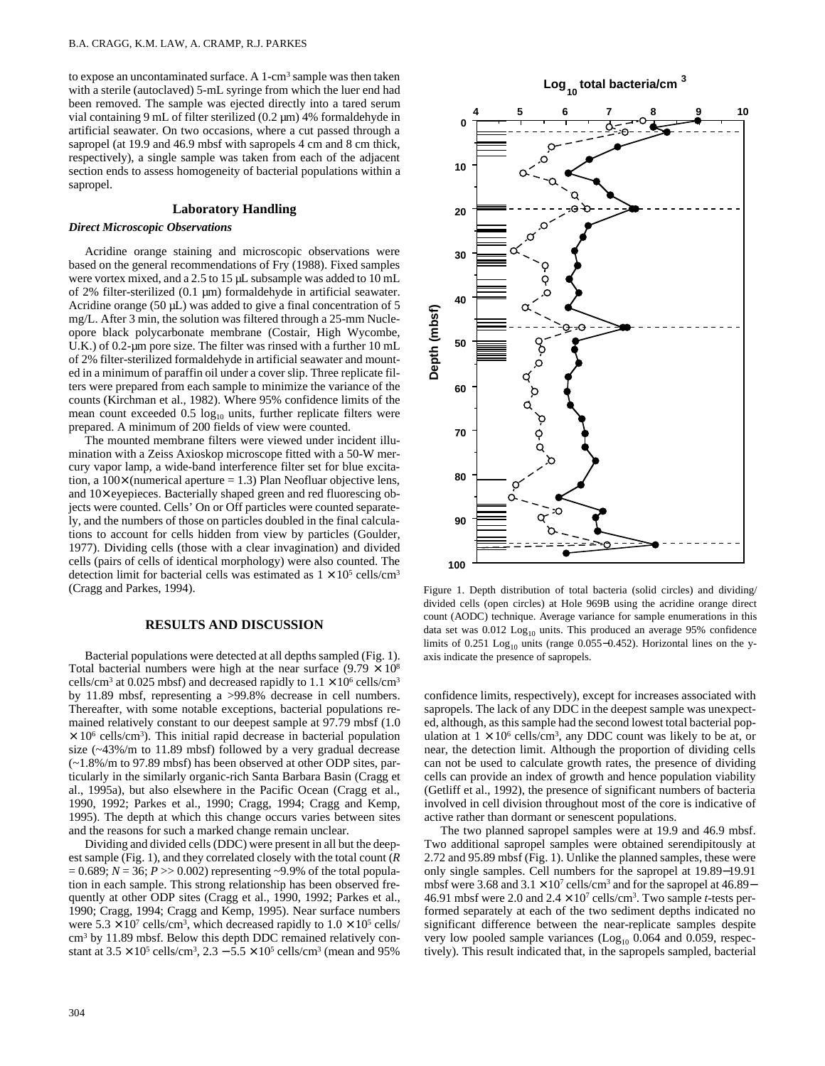to expose an uncontaminated surface. A 1-cm<sup>3</sup> sample was then taken with a sterile (autoclaved) 5-mL syringe from which the luer end had been removed. The sample was ejected directly into a tared serum vial containing 9 mL of filter sterilized (0.2 µm) 4% formaldehyde in artificial seawater. On two occasions, where a cut passed through a sapropel (at 19.9 and 46.9 mbsf with sapropels 4 cm and 8 cm thick, respectively), a single sample was taken from each of the adjacent section ends to assess homogeneity of bacterial populations within a sapropel.

# **Laboratory Handling**

#### *Direct Microscopic Observations*

Acridine orange staining and microscopic observations were based on the general recommendations of Fry (1988). Fixed samples were vortex mixed, and a 2.5 to 15 µL subsample was added to 10 mL of 2% filter-sterilized (0.1 µm) formaldehyde in artificial seawater. Acridine orange (50  $\mu$ L) was added to give a final concentration of 5 mg/L. After 3 min, the solution was filtered through a 25-mm Nucleopore black polycarbonate membrane (Costair, High Wycombe, U.K.) of 0.2-um pore size. The filter was rinsed with a further 10 mL of 2% filter-sterilized formaldehyde in artificial seawater and mounted in a minimum of paraffin oil under a cover slip. Three replicate filters were prepared from each sample to minimize the variance of the counts (Kirchman et al., 1982). Where 95% confidence limits of the mean count exceeded  $0.5 \log_{10}$  units, further replicate filters were prepared. A minimum of 200 fields of view were counted.

The mounted membrane filters were viewed under incident illumination with a Zeiss Axioskop microscope fitted with a 50-W mercury vapor lamp, a wide-band interference filter set for blue excitation, a  $100 \times$  (numerical aperture = 1.3) Plan Neofluar objective lens, and 10× eyepieces. Bacterially shaped green and red fluorescing objects were counted. Cells' On or Off particles were counted separately, and the numbers of those on particles doubled in the final calculations to account for cells hidden from view by particles (Goulder, 1977). Dividing cells (those with a clear invagination) and divided cells (pairs of cells of identical morphology) were also counted. The detection limit for bacterial cells was estimated as  $1 \times 10^5$  cells/cm<sup>3</sup> (Cragg and Parkes, 1994).

# **RESULTS AND DISCUSSION**

Bacterial populations were detected at all depths sampled (Fig. 1). Total bacterial numbers were high at the near surface  $(9.79 \times 10^8)$ cells/cm<sup>3</sup> at 0.025 mbsf) and decreased rapidly to  $1.1 \times 10^6$  cells/cm<sup>3</sup> by 11.89 mbsf, representing a >99.8% decrease in cell numbers. Thereafter, with some notable exceptions, bacterial populations remained relatively constant to our deepest sample at 97.79 mbsf (1.0  $\times$  10<sup>6</sup> cells/cm<sup>3</sup>). This initial rapid decrease in bacterial population size (~43%/m to 11.89 mbsf) followed by a very gradual decrease (~1.8%/m to 97.89 mbsf) has been observed at other ODP sites, particularly in the similarly organic-rich Santa Barbara Basin (Cragg et al., 1995a), but also elsewhere in the Pacific Ocean (Cragg et al., 1990, 1992; Parkes et al., 1990; Cragg, 1994; Cragg and Kemp, 1995). The depth at which this change occurs varies between sites and the reasons for such a marked change remain unclear.

Dividing and divided cells (DDC) were present in all but the deepest sample (Fig. 1), and they correlated closely with the total count (*R*  $= 0.689$ ;  $N = 36$ ;  $P > 0.002$ ) representing ~9.9% of the total population in each sample. This strong relationship has been observed frequently at other ODP sites (Cragg et al., 1990, 1992; Parkes et al., 1990; Cragg, 1994; Cragg and Kemp, 1995). Near surface numbers were  $5.3 \times 10^7$  cells/cm<sup>3</sup>, which decreased rapidly to  $1.0 \times 10^5$  cells/ cm<sup>3</sup> by 11.89 mbsf. Below this depth DDC remained relatively constant at  $3.5 \times 10^5$  cells/cm<sup>3</sup>,  $2.3 - 5.5 \times 10^5$  cells/cm<sup>3</sup> (mean and 95%)



Figure 1. Depth distribution of total bacteria (solid circles) and dividing/ divided cells (open circles) at Hole 969B using the acridine orange direct count (AODC) technique. Average variance for sample enumerations in this data set was  $0.012$  Log<sub>10</sub> units. This produced an average 95% confidence limits of 0.251 Log<sub>10</sub> units (range 0.055–0.452). Horizontal lines on the yaxis indicate the presence of sapropels.

**100**

confidence limits, respectively), except for increases associated with sapropels. The lack of any DDC in the deepest sample was unexpected, although, as this sample had the second lowest total bacterial population at  $1 \times 10^6$  cells/cm<sup>3</sup>, any DDC count was likely to be at, or near, the detection limit. Although the proportion of dividing cells can not be used to calculate growth rates, the presence of dividing cells can provide an index of growth and hence population viability (Getliff et al., 1992), the presence of significant numbers of bacteria involved in cell division throughout most of the core is indicative of active rather than dormant or senescent populations.

The two planned sapropel samples were at 19.9 and 46.9 mbsf. Two additional sapropel samples were obtained serendipitously at 2.72 and 95.89 mbsf (Fig. 1). Unlike the planned samples, these were only single samples. Cell numbers for the sapropel at 19.89−19.91 mbsf were 3.68 and  $3.1 \times 10^7$  cells/cm<sup>3</sup> and for the sapropel at 46.89– 46.91 mbsf were 2.0 and  $2.4 \times 10^7$  cells/cm<sup>3</sup>. Two sample *t*-tests performed separately at each of the two sediment depths indicated no significant difference between the near-replicate samples despite very low pooled sample variances  $(Log<sub>10</sub> 0.064$  and 0.059, respectively). This result indicated that, in the sapropels sampled, bacterial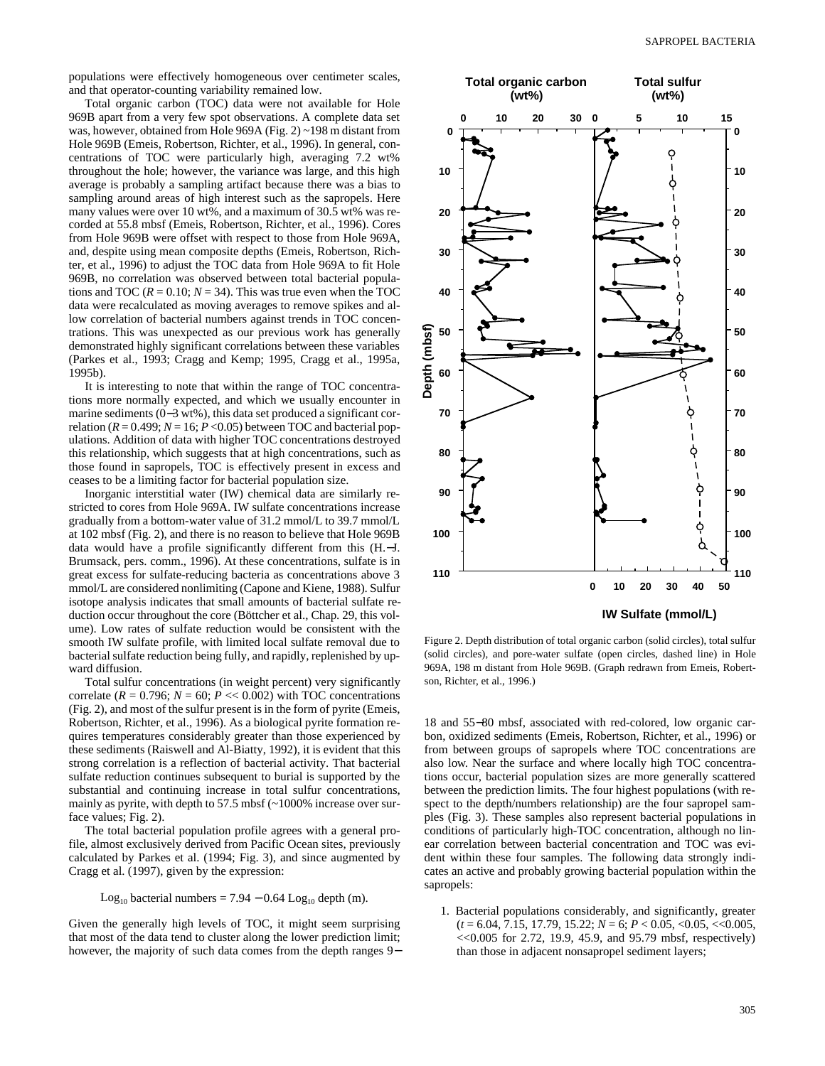Total organic carbon (TOC) data were not available for Hole 969B apart from a very few spot observations. A complete data set was, however, obtained from Hole 969A (Fig. 2) ~198 m distant from Hole 969B (Emeis, Robertson, Richter, et al., 1996). In general, concentrations of TOC were particularly high, averaging 7.2 wt% throughout the hole; however, the variance was large, and this high average is probably a sampling artifact because there was a bias to sampling around areas of high interest such as the sapropels. Here many values were over 10 wt%, and a maximum of 30.5 wt% was recorded at 55.8 mbsf (Emeis, Robertson, Richter, et al., 1996). Cores from Hole 969B were offset with respect to those from Hole 969A, and, despite using mean composite depths (Emeis, Robertson, Richter, et al., 1996) to adjust the TOC data from Hole 969A to fit Hole 969B, no correlation was observed between total bacterial populations and TOC ( $R = 0.10$ ;  $N = 34$ ). This was true even when the TOC data were recalculated as moving averages to remove spikes and allow correlation of bacterial numbers against trends in TOC concentrations. This was unexpected as our previous work has generally demonstrated highly significant correlations between these variables (Parkes et al., 1993; Cragg and Kemp; 1995, Cragg et al., 1995a, 1995b).

It is interesting to note that within the range of TOC concentrations more normally expected, and which we usually encounter in marine sediments (0−3 wt%), this data set produced a significant correlation ( $R = 0.499$ ;  $N = 16$ ;  $P < 0.05$ ) between TOC and bacterial populations. Addition of data with higher TOC concentrations destroyed this relationship, which suggests that at high concentrations, such as those found in sapropels, TOC is effectively present in excess and ceases to be a limiting factor for bacterial population size.

Inorganic interstitial water (IW) chemical data are similarly restricted to cores from Hole 969A. IW sulfate concentrations increase gradually from a bottom-water value of 31.2 mmol/L to 39.7 mmol/L at 102 mbsf (Fig. 2), and there is no reason to believe that Hole 969B data would have a profile significantly different from this (H.−J. Brumsack, pers. comm., 1996). At these concentrations, sulfate is in great excess for sulfate-reducing bacteria as concentrations above 3 mmol/L are considered nonlimiting (Capone and Kiene, 1988). Sulfur isotope analysis indicates that small amounts of bacterial sulfate reduction occur throughout the core (Böttcher et al., Chap. 29, this volume). Low rates of sulfate reduction would be consistent with the smooth IW sulfate profile, with limited local sulfate removal due to bacterial sulfate reduction being fully, and rapidly, replenished by upward diffusion.

Total sulfur concentrations (in weight percent) very significantly correlate ( $R = 0.796$ ;  $N = 60$ ;  $P \ll 0.002$ ) with TOC concentrations (Fig. 2), and most of the sulfur present is in the form of pyrite (Emeis, Robertson, Richter, et al., 1996). As a biological pyrite formation requires temperatures considerably greater than those experienced by these sediments (Raiswell and Al-Biatty, 1992), it is evident that this strong correlation is a reflection of bacterial activity. That bacterial sulfate reduction continues subsequent to burial is supported by the substantial and continuing increase in total sulfur concentrations, mainly as pyrite, with depth to 57.5 mbsf (~1000% increase over surface values; Fig. 2).

The total bacterial population profile agrees with a general profile, almost exclusively derived from Pacific Ocean sites, previously calculated by Parkes et al. (1994; Fig. 3), and since augmented by Cragg et al. (1997), given by the expression:

Log<sub>10</sub> bacterial numbers =  $7.94 - 0.64$  Log<sub>10</sub> depth (m).

Given the generally high levels of TOC, it might seem surprising that most of the data tend to cluster along the lower prediction limit; however, the majority of such data comes from the depth ranges 9−



Figure 2. Depth distribution of total organic carbon (solid circles), total sulfur (solid circles), and pore-water sulfate (open circles, dashed line) in Hole 969A, 198 m distant from Hole 969B. (Graph redrawn from Emeis, Robertson, Richter, et al., 1996.)

18 and 55−80 mbsf, associated with red-colored, low organic carbon, oxidized sediments (Emeis, Robertson, Richter, et al., 1996) or from between groups of sapropels where TOC concentrations are also low. Near the surface and where locally high TOC concentrations occur, bacterial population sizes are more generally scattered between the prediction limits. The four highest populations (with respect to the depth/numbers relationship) are the four sapropel samples (Fig. 3). These samples also represent bacterial populations in conditions of particularly high-TOC concentration, although no linear correlation between bacterial concentration and TOC was evident within these four samples. The following data strongly indicates an active and probably growing bacterial population within the sapropels:

1. Bacterial populations considerably, and significantly, greater (*t* = 6.04, 7.15, 17.79, 15.22; *N* = 6; *P* < 0.05, <0.05, <<0.005,  $<< 0.005$  for 2.72, 19.9, 45.9, and 95.79 mbsf, respectively) than those in adjacent nonsapropel sediment layers;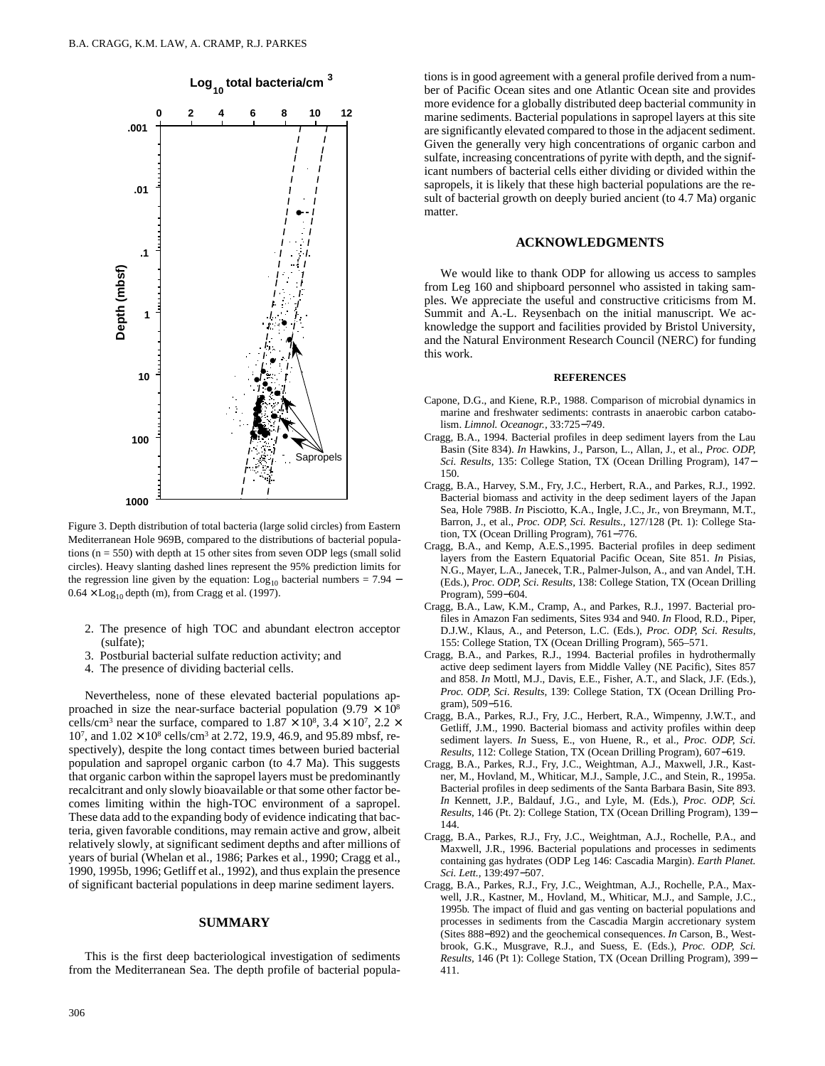

Figure 3. Depth distribution of total bacteria (large solid circles) from Eastern Mediterranean Hole 969B, compared to the distributions of bacterial populations (n = 550) with depth at 15 other sites from seven ODP legs (small solid circles). Heavy slanting dashed lines represent the 95% prediction limits for the regression line given by the equation:  $Log_{10}$  bacterial numbers = 7.94 –  $0.64 \times$  Log<sub>10</sub> depth (m), from Cragg et al. (1997).

- 2. The presence of high TOC and abundant electron acceptor (sulfate);
- 3. Postburial bacterial sulfate reduction activity; and
- 4. The presence of dividing bacterial cells.

Nevertheless, none of these elevated bacterial populations approached in size the near-surface bacterial population  $(9.79 \times 10^8)$ cells/cm<sup>3</sup> near the surface, compared to  $1.87 \times 10^8$ ,  $3.4 \times 10^7$ ,  $2.2 \times$  $10^7$ , and  $1.02 \times 10^8$  cells/cm<sup>3</sup> at 2.72, 19.9, 46.9, and 95.89 mbsf, respectively), despite the long contact times between buried bacterial population and sapropel organic carbon (to 4.7 Ma). This suggests that organic carbon within the sapropel layers must be predominantly recalcitrant and only slowly bioavailable or that some other factor becomes limiting within the high-TOC environment of a sapropel. These data add to the expanding body of evidence indicating that bacteria, given favorable conditions, may remain active and grow, albeit relatively slowly, at significant sediment depths and after millions of years of burial (Whelan et al., 1986; Parkes et al., 1990; Cragg et al., 1990, 1995b, 1996; Getliff et al., 1992), and thus explain the presence of significant bacterial populations in deep marine sediment layers.

#### **SUMMARY**

This is the first deep bacteriological investigation of sediments from the Mediterranean Sea. The depth profile of bacterial populations is in good agreement with a general profile derived from a number of Pacific Ocean sites and one Atlantic Ocean site and provides more evidence for a globally distributed deep bacterial community in marine sediments. Bacterial populations in sapropel layers at this site are significantly elevated compared to those in the adjacent sediment. Given the generally very high concentrations of organic carbon and sulfate, increasing concentrations of pyrite with depth, and the significant numbers of bacterial cells either dividing or divided within the sapropels, it is likely that these high bacterial populations are the result of bacterial growth on deeply buried ancient (to 4.7 Ma) organic matter.

## **ACKNOWLEDGMENTS**

We would like to thank ODP for allowing us access to samples from Leg 160 and shipboard personnel who assisted in taking samples. We appreciate the useful and constructive criticisms from M. Summit and A.-L. Reysenbach on the initial manuscript. We acknowledge the support and facilities provided by Bristol University, and the Natural Environment Research Council (NERC) for funding this work.

#### **REFERENCES**

- Capone, D.G., and Kiene, R.P., 1988. Comparison of microbial dynamics in marine and freshwater sediments: contrasts in anaerobic carbon catabolism. *Limnol. Oceanogr.,* 33:725−749.
- Cragg, B.A., 1994. Bacterial profiles in deep sediment layers from the Lau Basin (Site 834). *In* Hawkins, J., Parson, L., Allan, J., et al., *Proc. ODP, Sci. Results,* 135: College Station, TX (Ocean Drilling Program), 147− 150.
- Cragg, B.A., Harvey, S.M., Fry, J.C., Herbert, R.A., and Parkes, R.J., 1992. Bacterial biomass and activity in the deep sediment layers of the Japan Sea, Hole 798B. *In* Pisciotto, K.A., Ingle, J.C., Jr., von Breymann, M.T., Barron, J., et al., *Proc. ODP, Sci. Results.,* 127/128 (Pt. 1): College Station, TX (Ocean Drilling Program), 761−776.
- Cragg, B.A., and Kemp, A.E.S.,1995. Bacterial profiles in deep sediment layers from the Eastern Equatorial Pacific Ocean, Site 851. *In* Pisias, N.G., Mayer, L.A., Janecek, T.R., Palmer-Julson, A., and van Andel, T.H. (Eds.), *Proc. ODP, Sci. Results,* 138: College Station, TX (Ocean Drilling Program), 599−604.
- Cragg, B.A., Law, K.M., Cramp, A., and Parkes, R.J., 1997. Bacterial profiles in Amazon Fan sediments, Sites 934 and 940. *In* Flood, R.D., Piper, D.J.W., Klaus, A., and Peterson, L.C. (Eds.), *Proc. ODP, Sci. Results,* 155: College Station, TX (Ocean Drilling Program), 565–571.
- Cragg, B.A., and Parkes, R.J., 1994. Bacterial profiles in hydrothermally active deep sediment layers from Middle Valley (NE Pacific), Sites 857 and 858. *In* Mottl, M.J., Davis, E.E., Fisher, A.T., and Slack, J.F. (Eds.), *Proc. ODP, Sci. Results,* 139: College Station, TX (Ocean Drilling Program), 509−516.
- Cragg, B.A., Parkes, R.J., Fry, J.C., Herbert, R.A., Wimpenny, J.W.T., and Getliff, J.M., 1990. Bacterial biomass and activity profiles within deep sediment layers. *In* Suess, E., von Huene, R., et al., *Proc. ODP, Sci. Results,* 112: College Station, TX (Ocean Drilling Program), 607−619.
- Cragg, B.A., Parkes, R.J., Fry, J.C., Weightman, A.J., Maxwell, J.R., Kastner, M., Hovland, M., Whiticar, M.J., Sample, J.C., and Stein, R., 1995a. Bacterial profiles in deep sediments of the Santa Barbara Basin, Site 893. *In* Kennett, J.P., Baldauf, J.G., and Lyle, M. (Eds.), *Proc. ODP, Sci. Results*, 146 (Pt. 2): College Station, TX (Ocean Drilling Program), 139− 144.
- Cragg, B.A., Parkes, R.J., Fry, J.C., Weightman, A.J., Rochelle, P.A., and Maxwell, J.R., 1996. Bacterial populations and processes in sediments containing gas hydrates (ODP Leg 146: Cascadia Margin). *Earth Planet. Sci. Lett.,* 139:497−507.
- Cragg, B.A., Parkes, R.J., Fry, J.C., Weightman, A.J., Rochelle, P.A., Maxwell, J.R., Kastner, M., Hovland, M., Whiticar, M.J., and Sample, J.C., 1995b. The impact of fluid and gas venting on bacterial populations and processes in sediments from the Cascadia Margin accretionary system (Sites 888−892) and the geochemical consequences. *In* Carson, B., Westbrook, G.K., Musgrave, R.J., and Suess, E. (Eds.), *Proc. ODP, Sci. Results,* 146 (Pt 1): College Station, TX (Ocean Drilling Program), 399− 411.